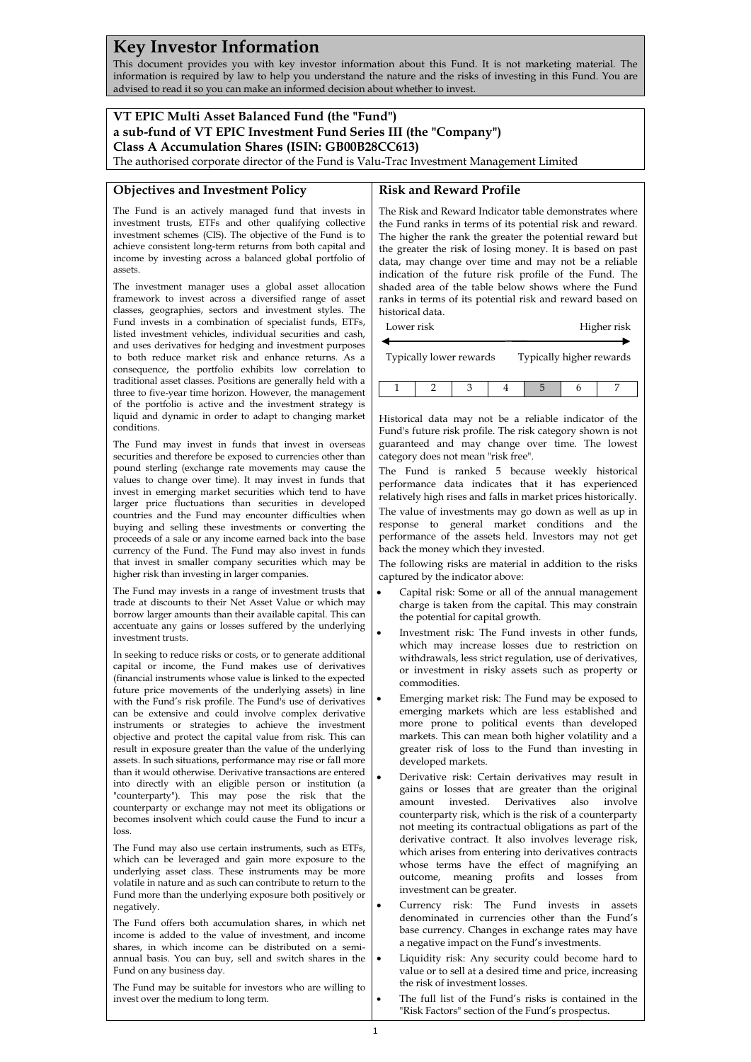# **Key Investor Information**

This document provides you with key investor information about this Fund. It is not marketing material. The information is required by law to help you understand the nature and the risks of investing in this Fund. You are advised to read it so you can make an informed decision about whether to invest.

# **VT EPIC Multi Asset Balanced Fund (the "Fund") a sub-fund of VT EPIC Investment Fund Series III (the "Company") Class A Accumulation Shares (ISIN: GB00B28CC613)**

The authorised corporate director of the Fund is Valu-Trac Investment Management Limited

### **Objectives and Investment Policy**

## **Risk and Reward Profile**

The Fund is an actively managed fund that invests in investment trusts, ETFs and other qualifying collective investment schemes (CIS). The objective of the Fund is to achieve consistent long-term returns from both capital and income by investing across a balanced global portfolio of assets.

The investment manager uses a global asset allocation framework to invest across a diversified range of asset classes, geographies, sectors and investment styles. The Fund invests in a combination of specialist funds, ETFs, listed investment vehicles, individual securities and cash, and uses derivatives for hedging and investment purposes to both reduce market risk and enhance returns. As a consequence, the portfolio exhibits low correlation to traditional asset classes. Positions are generally held with a three to five-year time horizon. However, the management of the portfolio is active and the investment strategy is liquid and dynamic in order to adapt to changing market conditions.

The Fund may invest in funds that invest in overseas securities and therefore be exposed to currencies other than pound sterling (exchange rate movements may cause the values to change over time). It may invest in funds that invest in emerging market securities which tend to have larger price fluctuations than securities in developed countries and the Fund may encounter difficulties when buying and selling these investments or converting the proceeds of a sale or any income earned back into the base currency of the Fund. The Fund may also invest in funds that invest in smaller company securities which may be higher risk than investing in larger companies.

The Fund may invests in a range of investment trusts that trade at discounts to their Net Asset Value or which may borrow larger amounts than their available capital. This can accentuate any gains or losses suffered by the underlying investment trusts.

In seeking to reduce risks or costs, or to generate additional capital or income, the Fund makes use of derivatives (financial instruments whose value is linked to the expected future price movements of the underlying assets) in line with the Fund's risk profile. The Fund's use of derivatives can be extensive and could involve complex derivative instruments or strategies to achieve the investment objective and protect the capital value from risk. This can result in exposure greater than the value of the underlying assets. In such situations, performance may rise or fall more than it would otherwise. Derivative transactions are entered into directly with an eligible person or institution (a "counterparty"). This may pose the risk that the counterparty or exchange may not meet its obligations or becomes insolvent which could cause the Fund to incur a loss.

The Fund may also use certain instruments, such as ETFs, which can be leveraged and gain more exposure to the underlying asset class. These instruments may be more volatile in nature and as such can contribute to return to the Fund more than the underlying exposure both positively or negatively.

The Fund offers both accumulation shares, in which net income is added to the value of investment, and income shares, in which income can be distributed on a semiannual basis. You can buy, sell and switch shares in the Fund on any business day.

The Fund may be suitable for investors who are willing to invest over the medium to long term.

The Risk and Reward Indicator table demonstrates where the Fund ranks in terms of its potential risk and reward. The higher the rank the greater the potential reward but the greater the risk of losing money. It is based on past data, may change over time and may not be a reliable indication of the future risk profile of the Fund. The shaded area of the table below shows where the Fund ranks in terms of its potential risk and reward based on historical data.

| Lower risk              |  |  |  | Higher risk              |  |  |  |
|-------------------------|--|--|--|--------------------------|--|--|--|
| Typically lower rewards |  |  |  | Typically higher rewards |  |  |  |
|                         |  |  |  |                          |  |  |  |

Historical data may not be a reliable indicator of the Fund's future risk profile. The risk category shown is not guaranteed and may change over time. The lowest category does not mean "risk free".

The Fund is ranked 5 because weekly historical performance data indicates that it has experienced relatively high rises and falls in market prices historically. The value of investments may go down as well as up in response to general market conditions and the performance of the assets held. Investors may not get back the money which they invested.

The following risks are material in addition to the risks captured by the indicator above:

- Capital risk: Some or all of the annual management charge is taken from the capital. This may constrain the potential for capital growth.
- Investment risk: The Fund invests in other funds, which may increase losses due to restriction on withdrawals, less strict regulation, use of derivatives, or investment in risky assets such as property or commodities.
- Emerging market risk: The Fund may be exposed to emerging markets which are less established and more prone to political events than developed markets. This can mean both higher volatility and a greater risk of loss to the Fund than investing in developed markets.
- Derivative risk: Certain derivatives may result in gains or losses that are greater than the original amount invested. Derivatives also involve counterparty risk, which is the risk of a counterparty not meeting its contractual obligations as part of the derivative contract. It also involves leverage risk, which arises from entering into derivatives contracts whose terms have the effect of magnifying an outcome, meaning profits and losses from investment can be greater.
- Currency risk: The Fund invests in assets denominated in currencies other than the Fund's base currency. Changes in exchange rates may have a negative impact on the Fund's investments.
- Liquidity risk: Any security could become hard to value or to sell at a desired time and price, increasing the risk of investment losses.
- The full list of the Fund's risks is contained in the "Risk Factors" section of the Fund's prospectus.